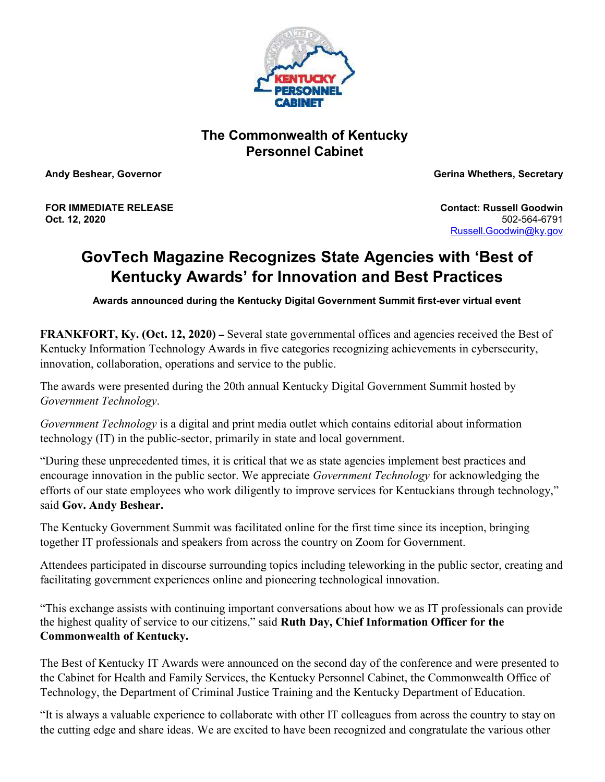

## **The Commonwealth of Kentucky Personnel Cabinet**

**Andy Beshear, Governor Gerina Whethers, Secretary**

**FOR IMMEDIATE RELEASE Oct. 12, 2020**

**Contact: Russell Goodwin** 502-564-6791 [Russell.Goodwin@ky.gov](mailto:LaDonna.Koebel@ky.gov)

# **GovTech Magazine Recognizes State Agencies with 'Best of Kentucky Awards' for Innovation and Best Practices**

**Awards announced during the Kentucky Digital Government Summit first-ever virtual event**

**FRANKFORT, Ky. (Oct. 12, 2020) – Several state governmental offices and agencies received the Best of** Kentucky Information Technology Awards in five categories recognizing achievements in cybersecurity, innovation, collaboration, operations and service to the public.

The awards were presented during the 20th annual Kentucky Digital Government Summit hosted by *Government Technology*.

*Government Technology* is a digital and print media outlet which contains editorial about information technology (IT) in the public-sector, primarily in state and local government.

"During these unprecedented times, it is critical that we as state agencies implement best practices and encourage innovation in the public sector. We appreciate *Government Technology* for acknowledging the efforts of our state employees who work diligently to improve services for Kentuckians through technology," said **Gov. Andy Beshear.**

The Kentucky Government Summit was facilitated online for the first time since its inception, bringing together IT professionals and speakers from across the country on Zoom for Government.

Attendees participated in discourse surrounding topics including teleworking in the public sector, creating and facilitating government experiences online and pioneering technological innovation.

"This exchange assists with continuing important conversations about how we as IT professionals can provide the highest quality of service to our citizens," said **Ruth Day, Chief Information Officer for the Commonwealth of Kentucky.**

The Best of Kentucky IT Awards were announced on the second day of the conference and were presented to the Cabinet for Health and Family Services, the Kentucky Personnel Cabinet, the Commonwealth Office of Technology, the Department of Criminal Justice Training and the Kentucky Department of Education.

"It is always a valuable experience to collaborate with other IT colleagues from across the country to stay on the cutting edge and share ideas. We are excited to have been recognized and congratulate the various other